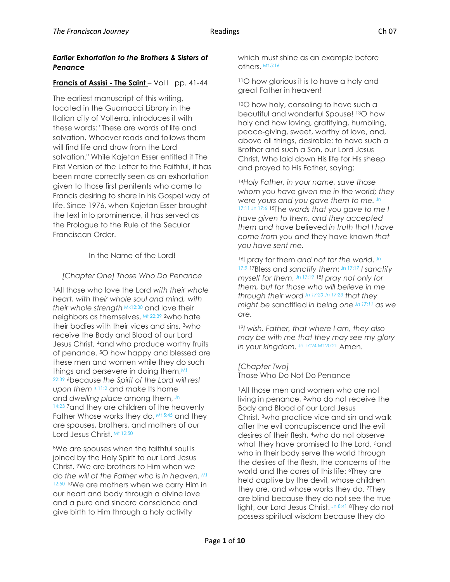# *Earlier Exhortation to the Brothers & Sisters of Penance*

# **Francis of Assisi - The Saint** – Vol I pp. 41-44

The earliest manuscript of this writing, located in the Guarnacci Library in the Italian city of Volterra, introduces it with these words: "These are words of life and salvation. Whoever reads and follows them will find life and draw from the Lord salvation." While Kajetan Esser entitled it The First Version of the Letter to the Faithful, it has been more correctly seen as an exhortation given to those first penitents who came to Francis desiring to share in his Gospel way of life. Since 1976, when Kajetan Esser brought the text into prominence, it has served as the Prologue to the Rule of the Secular Franciscan Order.

In the Name of the Lord!

# *[Chapter One] Those Who Do Penance*

<sup>1</sup>All those who love the Lord *with their whole heart, with their whole soul and mind, with their whole strength* Mk12:30 and love their neighbors as themselves, Mt 22:39 2who hate their bodies with their vices and sins, <sup>3</sup>who receive the Body and Blood of our Lord Jesus Christ, <sup>4</sup>and who produce worthy fruits of penance. <sup>5</sup>O how happy and blessed are these men and women while they do such things and persevere in doing them, Mt 22:39 <sup>6</sup>because *the Spirit of the Lord will rest upon them* Is 11:2 and *make* Its home and *dwelling place* among them, Jn 14:23 7 and they are children of the heavenly Father Whose works they do, Mt 5:45 and they are spouses, brothers, and mothers of our Lord Jesus Christ. Mt 12:50

<sup>8</sup>We are spouses when the faithful soul is joined by the Holy Spirit to our Lord Jesus Christ. <sup>9</sup>We are brothers to Him when we do *the will of the Father who is in heaven.* Mt 12:50 10We are mothers when we carry Him in our heart and body through a divine love and a pure and sincere conscience and give birth to Him through a holy activity

which must shine as an example before others. Mt 5:16

<sup>11</sup>O how glorious it is to have a holy and great Father in heaven!

<sup>12</sup>O how holy, consoling to have such a beautiful and wonderful Spouse! <sup>13</sup>O how holy and how loving, gratifying, humbling, peace-giving, sweet, worthy of love, and, above all things, desirable: to have such a Brother and such a Son, our Lord Jesus Christ, Who laid down His life for His sheep and prayed to His Father, saying:

<sup>14</sup>*Holy Father, in your name, save those whom you have given me in the world; they were yours and you gave them to me.* Jn 17:11 Jn 17:6 <sup>15</sup>The *words that you gave to me I have given to them, and they accepted them and* have believed *in truth that I have come from you and* they have known *that you have sent me.*

<sup>16</sup>I pray for them and not for the world. Jn 17:9 <sup>17</sup>Bless and *sanctify them*; Jn 17:17 *I sanctify myself for them.* Jn 17:19 <sup>18</sup>*I pray not only for them, but for those who will believe in me through their word Jn 17:20 Jn 17:23 that they might be* sanctified *in being one Jn 17:11 as we are.*

<sup>19</sup>*I wish, Father, that where I am, they also may be with me that they may see my glory in your kingdom.* Jn 17:24 Mt 20:21 Amen.

*[Chapter Two]* Those Who Do Not Do Penance

<sup>1</sup>All those men and women who are not living in penance, <sup>2</sup>who do not receive the Body and Blood of our Lord Jesus Christ, <sup>3</sup>who practice vice and sin and walk after the evil concupiscence and the evil desires of their flesh, <sup>4</sup>who do not observe what they have promised to the Lord, <sup>5</sup>and who in their body serve the world through the desires of the flesh, the concerns of the world and the cares of this life: <sup>6</sup>They are held captive by the devil, whose children they are, and whose works they do. 7They are blind because they do not see the true light, our Lord Jesus Christ. Jn 8:41 8They do not possess spiritual wisdom because they do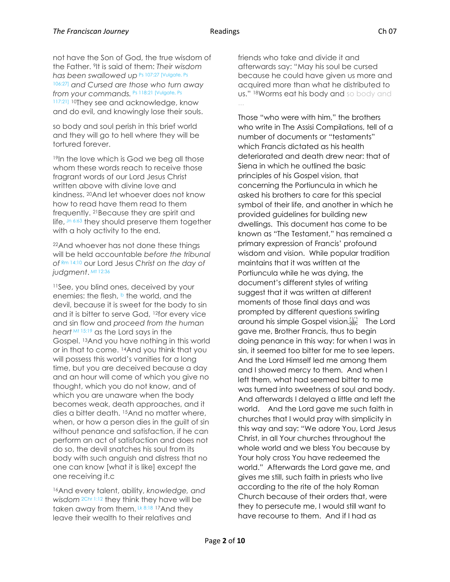not have the Son of God, the true wisdom of the Father. <sup>9</sup>It is said of them: *Their wisdom*  has been swallowed up Ps 107:27 [Vulgate, Ps 106:27] *and Cursed are those who turn away from your commands.* Ps 118:21 [Vulgate, Ps 117:21] <sup>10</sup>They see and acknowledge, know and do evil, and knowingly lose their souls.

so body and soul perish in this brief world and they will go to hell where they will be tortured forever.

<sup>19</sup>In the love which is God we beg all those whom these words reach to receive those fragrant words of our Lord Jesus Christ written above with divine love and kindness. <sup>20</sup>And let whoever does not know how to read have them read to them frequently. <sup>21</sup>Because they are spirit and life, Jn 6:63 they should preserve them together with a holy activity to the end.

<sup>22</sup>And whoever has not done these things will be held accountable *before the tribunal of* Rm 14:10 our Lord Jesus *Christ on the day of judament*. Mt 12:36

<sup>11</sup>See, you blind ones, deceived by your enemies: the flesh, **b** the world, and the devil, because it is sweet for the body to sin and it is bitter to serve God, <sup>12</sup>for every vice and sin flow and *proceed from the human heart* Mt 15:19 as the Lord says in the Gospel. <sup>13</sup>And you have nothing in this world or in that to come. <sup>14</sup>And you think that you will possess this world's vanities for a long time, but you are deceived because a day and an hour will come of which you give no thought, which you do not know, and of which you are unaware when the body becomes weak, death approaches, and it dies a bitter death. <sup>15</sup>And no matter where, when, or how a person dies in the guilt of sin without penance and satisfaction, if he can perform an act of satisfaction and does not do so, the devil snatches his soul from its body with such anguish and distress that no one can know [what it is like] except the one receiving it.c

<sup>16</sup>And every talent, ability, *knowledge, and wisdom* 2Chr 1:12 they think they have will be taken away from them. Lk 8:18 17 And they leave their wealth to their relatives and

friends who take and divide it and afterwards say: "May his soul be cursed because he could have given us more and acquired more than what he distributed to Us." 18 Worms eat his body and so body and ...

Those "who were with him," the brothers who write in The Assisi Compilations, tell of a number of documents or "testaments" which Francis dictated as his health deteriorated and death drew near: that of Siena in which he outlined the basic principles of his Gospel vision, that concerning the Portiuncula in which he asked his brothers to care for this special symbol of their life, and another in which he provided guidelines for building new dwellings. This document has come to be known as "The Testament," has remained a primary expression of Francis' profound wisdom and vision. While popular tradition maintains that it was written at the Portiuncula while he was dying, the document's different styles of writing suggest that it was written at different moments of those final days and was prompted by different questions swirling around his simple Gospel vision. The Lord gave me, Brother Francis, thus to begin doing penance in this way: for when I was in sin, it seemed too bitter for me to see lepers. And the Lord Himself led me among them and I showed mercy to them. And when I left them, what had seemed bitter to me was turned into sweetness of soul and body. And afterwards I delayed a little and left the world. And the Lord gave me such faith in churches that I would pray with simplicity in this way and say: "We adore You, Lord Jesus Christ, in all Your churches throughout the whole world and we bless You because by Your holy cross You have redeemed the world." Afterwards the Lord gave me, and gives me still, such faith in priests who live according to the rite of the holy Roman Church because of their orders that, were they to persecute me, I would still want to have recourse to them. And if I had as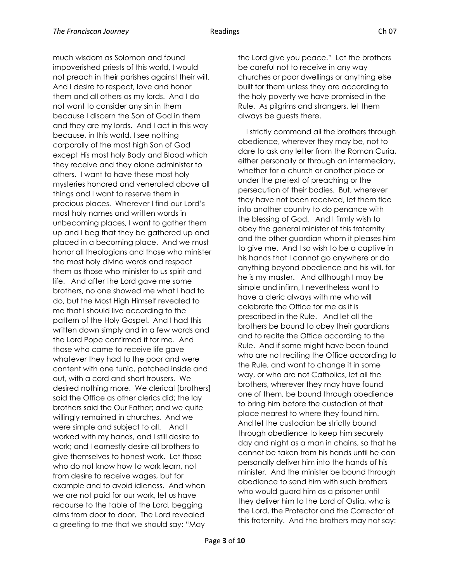much wisdom as Solomon and found impoverished priests of this world, I would not preach in their parishes against their will. And I desire to respect, love and honor them and all others as my lords. And I do not want to consider any sin in them because I discern the Son of God in them and they are my lords. And I act in this way because, in this world, I see nothing corporally of the most high Son of God except His most holy Body and Blood which they receive and they alone administer to others. I want to have these most holy mysteries honored and venerated above all things and I want to reserve them in precious places. Wherever I find our Lord's most holy names and written words in unbecoming places, I want to gather them up and I beg that they be gathered up and placed in a becoming place. And we must honor all theologians and those who minister the most holy divine words and respect them as those who minister to us spirit and life. And after the Lord gave me some brothers, no one showed me what I had to do, but the Most High Himself revealed to me that I should live according to the pattern of the Holy Gospel. And I had this written down simply and in a few words and the Lord Pope confirmed it for me. And those who came to receive life gave whatever they had to the poor and were content with one tunic, patched inside and out, with a cord and short trousers. We desired nothing more. We clerical [brothers] said the Office as other clerics did; the lay brothers said the Our Father; and we quite willingly remained in churches. And we were simple and subject to all. And I worked with my hands, and I still desire to work; and I earnestly desire all brothers to give themselves to honest work. Let those who do not know how to work learn, not from desire to receive wages, but for example and to avoid idleness. And when we are not paid for our work, let us have recourse to the table of the Lord, begging alms from door to door. The Lord revealed a greeting to me that we should say: "May

the Lord give you peace." Let the brothers be careful not to receive in any way churches or poor dwellings or anything else built for them unless they are according to the holy poverty we have promised in the Rule. As pilgrims and strangers, let them always be guests there.

 I strictly command all the brothers through obedience, wherever they may be, not to dare to ask any letter from the Roman Curia, either personally or through an intermediary, whether for a church or another place or under the pretext of preaching or the persecution of their bodies. But, wherever they have not been received, let them flee into another country to do penance with the blessing of God. And I firmly wish to obey the general minister of this fraternity and the other guardian whom it pleases him to give me. And I so wish to be a captive in his hands that I cannot go anywhere or do anything beyond obedience and his will, for he is my master. And although I may be simple and infirm, I nevertheless want to have a cleric always with me who will celebrate the Office for me as it is prescribed in the Rule. And let all the brothers be bound to obey their guardians and to recite the Office according to the Rule. And if some might have been found who are not reciting the Office according to the Rule, and want to change it in some way, or who are not Catholics, let all the brothers, wherever they may have found one of them, be bound through obedience to bring him before the custodian of that place nearest to where they found him. And let the custodian be strictly bound through obedience to keep him securely day and night as a man in chains, so that he cannot be taken from his hands until he can personally deliver him into the hands of his minister. And the minister be bound through obedience to send him with such brothers who would guard him as a prisoner until they deliver him to the Lord of Ostia, who is the Lord, the Protector and the Corrector of this fraternity. And the brothers may not say: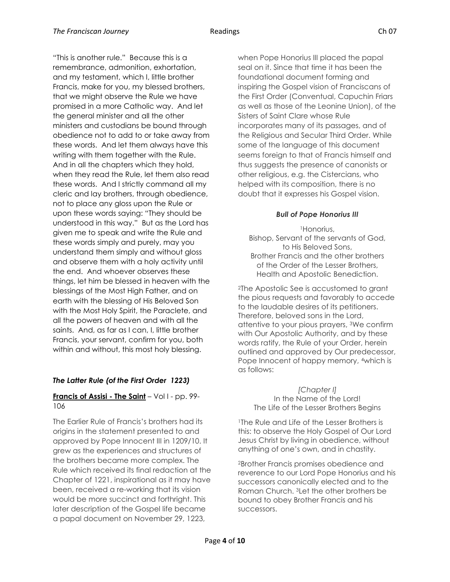"This is another rule." Because this is a remembrance, admonition, exhortation, and my testament, which I, little brother Francis, make for you, my blessed brothers, that we might observe the Rule we have promised in a more Catholic way. And let the general minister and all the other ministers and custodians be bound through obedience not to add to or take away from these words. And let them always have this writing with them together with the Rule. And in all the chapters which they hold, when they read the Rule, let them also read these words. And I strictly command all my cleric and lay brothers, through obedience, not to place any gloss upon the Rule or upon these words saying: "They should be understood in this way." But as the Lord has given me to speak and write the Rule and these words simply and purely, may you understand them simply and without gloss and observe them with a holy activity until the end. And whoever observes these things, let him be blessed in heaven with the blessings of the Most High Father, and on earth with the blessing of His Beloved Son with the Most Holy Spirit, the Paraclete, and all the powers of heaven and with all the saints. And, as far as I can, I, little brother Francis, your servant, confirm for you, both within and without, this most holy blessing.

# *The Latter Rule (of the First Order 1223)*

# **Francis of Assisi - The Saint** – Vol I - pp. 99- 106

The Earlier Rule of Francis's brothers had its origins in the statement presented to and approved by Pope Innocent III in 1209/10. It grew as the experiences and structures of the brothers became more complex. The Rule which received its final redaction at the Chapter of 1221, inspirational as it may have been, received a re-working that its vision would be more succinct and forthright. This later description of the Gospel life became a papal document on November 29, 1223,

when Pope Honorius III placed the papal seal on it. Since that time it has been the foundational document forming and inspiring the Gospel vision of Franciscans of the First Order (Conventual, Capuchin Friars as well as those of the Leonine Union), of the Sisters of Saint Clare whose Rule incorporates many of its passages, and of the Religious and Secular Third Order. While some of the language of this document seems foreign to that of Francis himself and thus suggests the presence of canonists or other religious, e.g. the Cistercians, who helped with its composition, there is no doubt that it expresses his Gospel vision.

# *Bull of Pope Honorius III*

<sup>1</sup>Honorius, Bishop, Servant of the servants of God, to His Beloved Sons, Brother Francis and the other brothers of the Order of the Lesser Brothers, Health and Apostolic Benediction.

<sup>2</sup>The Apostolic See is accustomed to grant the pious requests and favorably to accede to the laudable desires of its petitioners. Therefore, beloved sons in the Lord, attentive to your pious prayers, <sup>3</sup>We confirm with Our Apostolic Authority, and by these words ratify, the Rule of your Order, herein outlined and approved by Our predecessor, Pope Innocent of happy memory, 4which is as follows:

*[Chapter I]* In the Name of the Lord! The Life of the Lesser Brothers Begins

<sup>1</sup>The Rule and Life of the Lesser Brothers is this: to observe the Holy Gospel of Our Lord Jesus Christ by living in obedience, without anything of one's own, and in chastity.

<sup>2</sup>Brother Francis promises obedience and reverence to our Lord Pope Honorius and his successors canonically elected and to the Roman Church. <sup>3</sup>Let the other brothers be bound to obey Brother Francis and his successors.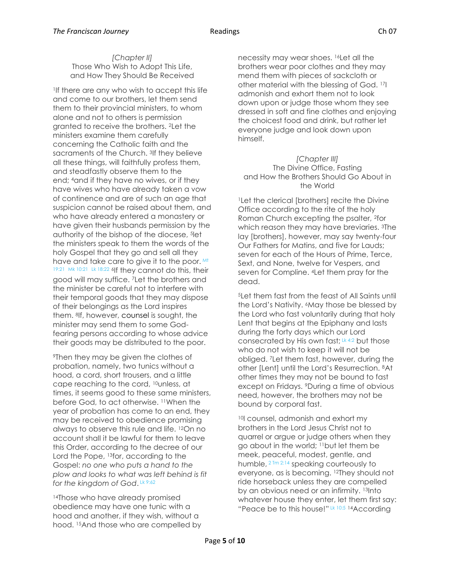#### *[Chapter II]* Those Who Wish to Adopt This Life, and How They Should Be Received

<sup>1</sup>If there are any who wish to accept this life and come to our brothers, let them send them to their provincial ministers, to whom alone and not to others is permission granted to receive the brothers. <sup>2</sup>Let the ministers examine them carefully concerning the Catholic faith and the sacraments of the Church. <sup>3</sup>If they believe all these things, will faithfully profess them, and steadfastly observe them to the end; <sup>4</sup>and if they have no wives, or if they have wives who have already taken a vow of continence and are of such an age that suspicion cannot be raised about them, and who have already entered a monastery or have given their husbands permission by the authority of the bishop of the diocese, <sup>5</sup>let the ministers speak to them the words of the holy Gospel that they go and sell all they have and take care to give it to the poor. Mt 19:21 Mk 10:21 Lk 18:22 <sup>6</sup>If they cannot do this, their good will may suffice. <sup>7</sup>Let the brothers and the minister be careful not to interfere with their temporal goods that they may dispose of their belongings as the Lord inspires them. <sup>8</sup>If, however, counsel is sought, the minister may send them to some Godfearing persons according to whose advice their goods may be distributed to the poor.

<sup>9</sup>Then they may be given the clothes of probation, namely, two tunics without a hood, a cord, short trousers, and a little cape reaching to the cord, <sup>10</sup>unless, at times, it seems good to these same ministers, before God, to act otherwise. <sup>11</sup>When the year of probation has come to an end, they may be received to obedience promising always to observe this rule and life. <sup>12</sup>On no account shall it be lawful for them to leave this Order, according to the decree of our Lord the Pope, <sup>13</sup>for, according to the Gospel: *no one who puts a hand to the plow and looks to what was left behind is fit for the kingdom of God*. Lk 9:62

14Those who have already promised obedience may have one tunic with a hood and another, if they wish, without a hood. <sup>15</sup>And those who are compelled by necessity may wear shoes. <sup>16</sup>Let all the brothers wear poor clothes and they may mend them with pieces of sackcloth or other material with the blessing of God. <sup>17</sup>I admonish and exhort them not to look down upon or judge those whom they see dressed in soft and fine clothes and enjoying the choicest food and drink, but rather let everyone judge and look down upon himself.

#### *[Chapter III]* The Divine Office, Fasting and How the Brothers Should Go About in the World

<sup>1</sup>Let the clerical [brothers] recite the Divine Office according to the rite of the holy Roman Church excepting the psalter, <sup>2</sup>for which reason they may have breviaries. 3The lay [brothers], however, may say twenty-four Our Fathers for Matins, and five for Lauds; seven for each of the Hours of Prime, Terce, Sext, and None, twelve for Vespers, and seven for Compline. <sup>4</sup>Let them pray for the dead.

<sup>5</sup>Let them fast from the feast of All Saints until the Lord's Nativity. <sup>6</sup>May those be blessed by the Lord who fast voluntarily during that holy Lent that begins at the Epiphany and lasts during the forty days which our Lord consecrated by His own fast; Lk 4:2 but those who do not wish to keep it will not be obliged. <sup>7</sup>Let them fast, however, during the other [Lent] until the Lord's Resurrection. <sup>8</sup>At other times they may not be bound to fast except on Fridays. <sup>9</sup>During a time of obvious need, however, the brothers may not be bound by corporal fast.

<sup>10</sup>I counsel, admonish and exhort my brothers in the Lord Jesus Christ not to quarrel or argue or judge others when they go about in the world; <sup>11</sup>but let them be meek, peaceful, modest, gentle, and humble,  $2 \text{Im } 2:14$  speaking courteously to everyone, as is becoming. <sup>12</sup>They should not ride horseback unless they are compelled by an obvious need or an infirmity. <sup>13</sup>Into whatever house they enter, let them first say: "Peace be to this house!" Lk 10:5 14 According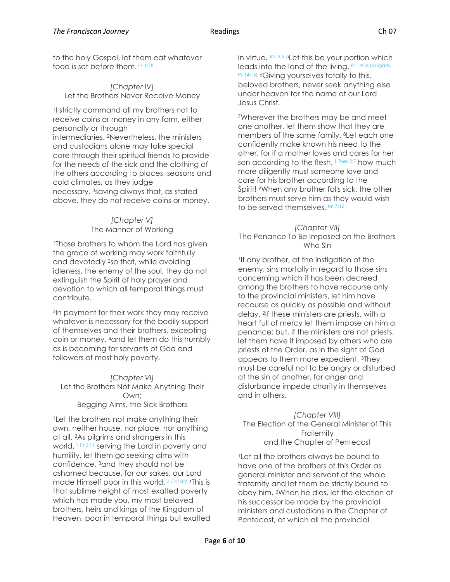to the holy Gospel, let them eat whatever food is set before them. Lk 10:8

#### *[Chapter IV]* Let the Brothers Never Receive Money

<sup>1</sup>I strictly command all my brothers not to receive coins or money in any form, either personally or through intermediaries. <sup>2</sup>Nevertheless, the ministers and custodians alone may take special care through their spiritual friends to provide for the needs of the sick and the clothing of the others according to places, seasons and cold climates, as they judge necessary, <sup>3</sup>saving always that, as stated above, they do not receive coins or money.

### *[Chapter V]* The Manner of Working

<sup>1</sup>Those brothers to whom the Lord has given the grace of working may work faithfully and devotedly <sup>2</sup>so that, while avoiding idleness, the enemy of the soul, they do not extinguish the Spirit of holy prayer and devotion to which all temporal things must contribute.

<sup>3</sup>In payment for their work they may receive whatever is necessary for the bodily support of themselves and their brothers, excepting coin or money, <sup>4</sup>and let them do this humbly as is becoming for servants of God and followers of most holy poverty.

#### *[Chapter VI]* Let the Brothers Not Make Anything Their Own; Begging Alms, the Sick Brothers

<sup>1</sup>Let the brothers not make anything their own, neither house, nor place, nor anything at all. <sup>2</sup>As pilgrims and strangers in this world, <sup>1 Pt 2:11</sup> serving the Lord in poverty and humility, let them go seeking alms with confidence, <sup>3</sup>and they should not be ashamed because, for our sakes, our Lord made Himself poor in this world. <sup>2 Cor 8:9</sup> 4This is that sublime height of most exalted poverty which has made you, my most beloved brothers, heirs and kings of the Kingdom of Heaven, poor in temporal things but exalted

in virtue. Jas 2:5 5 Let this be your portion which leads into the land of the living. Ps 142:6 [Vulgate, Ps 141:6] 6Giving yourselves totally to this, beloved brothers, never seek anything else under heaven for the name of our Lord Jesus Christ.

<sup>7</sup>Wherever the brothers may be and meet one another, let them show that they are members of the same family. <sup>8</sup>Let each one confidently make known his need to the other, for if a mother loves and cares for her son according to the flesh, 1 Thes 2:7 how much more diligently must someone love and care for his brother according to the Spirit! <sup>9</sup>When any brother falls sick, the other brothers must serve him as they would wish to be served themselves. Mt 7:12

### *[Chapter VII]* The Penance To Be Imposed on the Brothers Who Sin

<sup>1</sup>If any brother, at the instigation of the enemy, sins mortally in regard to those sins concerning which it has been decreed among the brothers to have recourse only to the provincial ministers, let him have recourse as quickly as possible and without delay. <sup>2</sup>If these ministers are priests, with a heart full of mercy let them impose on him a penance; but, if the ministers are not priests, let them have it imposed by others who are priests of the Order, as in the sight of God appears to them more expedient. <sup>3</sup>They must be careful not to be angry or disturbed at the sin of another, for anger and disturbance impede charity in themselves and in others.

*[Chapter VIII]* The Election of the General Minister of This Fraternity and the Chapter of Pentecost

<sup>1</sup>Let all the brothers always be bound to have one of the brothers of this Order as general minister and servant of the whole fraternity and let them be strictly bound to obey him. <sup>2</sup>When he dies, let the election of his successor be made by the provincial ministers and custodians in the Chapter of Pentecost, at which all the provincial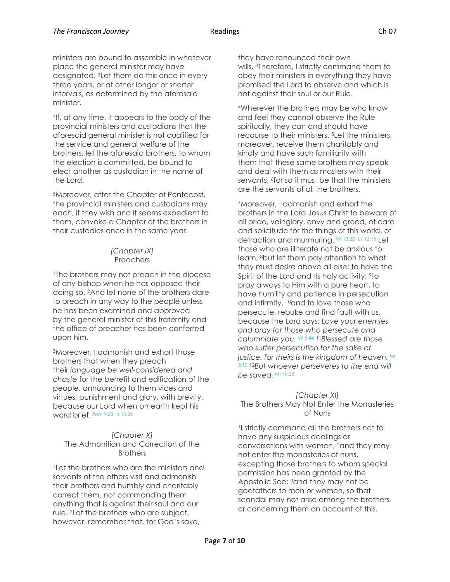ministers are bound to assemble in whatever place the general minister may have designated. <sup>3</sup>Let them do this once in every three years, or at other longer or shorter intervals, as determined by the aforesaid minister.

<sup>4</sup>If, at any time, it appears to the body of the provincial ministers and custodians that the aforesaid general minister is not qualified for the service and general welfare of the brothers, let the aforesaid brothers, to whom the election is committed, be bound to elect another as custodian in the name of the Lord.

<sup>5</sup>Moreover, after the Chapter of Pentecost, the provincial ministers and custodians may each, if they wish and it seems expedient to them, convoke a Chapter of the brothers in their custodies once in the same year.

## *[Chapter IX]* **Preachers**

<sup>1</sup>The brothers may not preach in the diocese of any bishop when he has opposed their doing so. <sup>2</sup>And let none of the brothers dare to preach in any way to the people unless he has been examined and approved by the general minister of this fraternity and the office of preacher has been conferred upon him.

<sup>3</sup>Moreover, I admonish and exhort those brothers that when they preach their *language be well-considered and chaste* for the benefit and edification of the people, announcing to them vices and virtues, punishment and glory, with brevity, because our Lord when on earth kept his word brief. Rom 9:28 Is 10:22

### *[Chapter X]* The Admonition and Correction of the **Brothers**

<sup>1</sup>Let the brothers who are the ministers and servants of the others visit and admonish their brothers and humbly and charitably correct them, not commanding them anything that is against their soul and our rule. <sup>2</sup>Let the brothers who are subject, however, remember that, for God's sake,

they have renounced their own wills. <sup>3</sup>Therefore, I strictly command them to obey their ministers in everything they have promised the Lord to observe and which is not against their soul or our Rule.

<sup>4</sup>Wherever the brothers may be who know and feel they cannot observe the Rule spiritually, they can and should have recourse to their ministers. <sup>5</sup>Let the ministers, moreover, receive them charitably and kindly and have such familiarity with them that these same brothers may speak and deal with them as masters with their servants, <sup>6</sup>for so it must be that the ministers are the servants of all the brothers.

<sup>7</sup>Moreover, I admonish and exhort the brothers in the Lord Jesus Christ to beware of all pride, vainglory, envy and greed, of care and solicitude for the things of this world, of detraction and murmuring. Mt 13:22 Lk 12:15 Let those who are illiterate not be anxious to learn, <sup>8</sup>but let them pay attention to what they must desire above all else: to have the Spirit of the Lord and Its holy activity, <sup>9</sup>to pray always to Him with a pure heart, to have humility and patience in persecution and infirmity, <sup>10</sup>and to love those who persecute, rebuke and find fault with us, because the Lord says: *Love your enemies and pray for those who persecute and calumniate you.* Mt 5:44 <sup>11</sup>*Blessed are those who suffer persecution for the sake of justice, for theirs is the kingdom of heaven.* Mt 5:10 <sup>12</sup>*But whoever perseveres to the end will be saved.* Mt 10:22

*[Chapter XI]* The Brothers May Not Enter the Monasteries of Nuns

<sup>1</sup>I strictly command all the brothers not to have any suspicious dealings or conversations with women, <sup>2</sup>and they may not enter the monasteries of nuns, excepting those brothers to whom special permission has been granted by the Apostolic See; <sup>3</sup>and they may not be godfathers to men or women, so that scandal may not arise among the brothers or concerning them on account of this.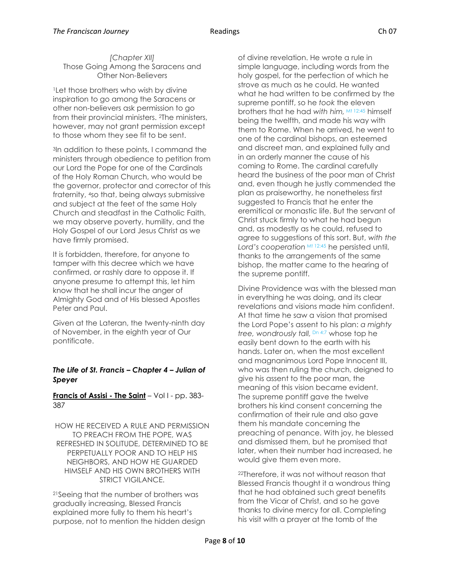#### *[Chapter XII]* Those Going Among the Saracens and Other Non-Believers

<sup>1</sup>Let those brothers who wish by divine inspiration to go among the Saracens or other non-believers ask permission to go from their provincial ministers. <sup>2</sup>The ministers, however, may not grant permission except to those whom they see fit to be sent.

3In addition to these points, I command the ministers through obedience to petition from our Lord the Pope for one of the Cardinals of the Holy Roman Church, who would be the governor, protector and corrector of this fraternity, <sup>4</sup>so that, being always submissive and subject at the feet of the same Holy Church and steadfast in the Catholic Faith, we may observe poverty, humility, and the Holy Gospel of our Lord Jesus Christ as we have firmly promised.

It is forbidden, therefore, for anyone to tamper with this decree which we have confirmed, or rashly dare to oppose it. If anyone presume to attempt this, let him know that he shall incur the anger of Almighty God and of His blessed Apostles Peter and Paul.

Given at the Lateran, the twenty-ninth day of November, in the eighth year of Our pontificate.

# *The Life of St. Francis – Chapter 4 – Julian of Speyer*

#### **Francis of Assisi - The Saint** – Vol I - pp. 383- 387

HOW HE RECEIVED A RULE AND PERMISSION TO PREACH FROM THE POPE, WAS REFRESHED IN SOLITUDE, DETERMINED TO BE PERPETUALLY POOR AND TO HELP HIS NEIGHBORS, AND HOW HE GUARDED HIMSELF AND HIS OWN BROTHERS WITH STRICT VIGILANCE.

<sup>21</sup>Seeing that the number of brothers was gradually increasing, Blessed Francis explained more fully to them his heart's purpose, not to mention the hidden design of divine revelation. He wrote a rule in simple language, including words from the holy gospel, for the perfection of which he strove as much as he could. He wanted what he had written to be confirmed by the supreme pontiff, so he *took* the eleven brothers that he had with him, Mt 12:45 himself being the twelfth, and made his way with them to Rome. When he arrived, he went to one of the cardinal bishops, an esteemed and discreet man, and explained fully and in an orderly manner the cause of his coming to Rome. The cardinal carefully heard the business of the poor man of Christ and, even though he justly commended the plan as praiseworthy, he nonetheless first suggested to Francis that he enter the eremitical or monastic life. But the servant of Christ stuck firmly to what he had begun and, as modestly as he could, refused to agree to suggestions of this sort. But, *with the*  Lord's cooperation<sup>Mt 12:45</sup> he persisted until, thanks to the arrangements of the same bishop, the matter came to the hearing of the supreme pontiff.

Divine Providence was with the blessed man in everything he was doing, and its clear revelations and visions made him confident. At that time he saw a vision that promised the Lord Pope's assent to his plan: *a mighty tree, wondrously tall, <sup>Dn 4:7</sup>* whose top he easily bent down to the earth with his hands. Later on, when the most excellent and magnanimous Lord Pope Innocent III, who was then ruling the church, deigned to give his assent to the poor man, the meaning of this vision became evident. The supreme pontiff gave the twelve brothers his kind consent concerning the confirmation of their rule and also gave them his mandate concerning the preaching of penance. With joy, he blessed and dismissed them, but he promised that later, when their number had increased, he would give them even more.

<sup>22</sup>Therefore, it was not without reason that Blessed Francis thought it a wondrous thing that he had obtained such great benefits from the Vicar of Christ, and so he gave thanks to divine mercy for all. Completing his visit with a prayer at the tomb of the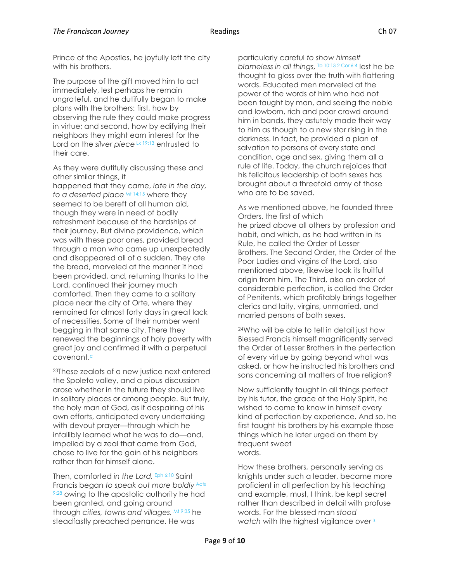Prince of the Apostles, he joyfully left the city with his brothers.

The purpose of the gift moved him to act immediately, lest perhaps he remain ungrateful, and he dutifully began to make plans with the brothers: first, how by observing the rule they could make progress in virtue; and second, how by edifying their neighbors they might earn interest for the Lord on the *silver piece* Lk 19:13 entrusted to their care.

As they were dutifully discussing these and other similar things, it

happened that they came, *late in the day,*  to a deserted place Mt 14:15 where they seemed to be bereft of all human aid, though they were in need of bodily refreshment because of the hardships of their journey. But divine providence, which was with these poor ones, provided bread through a man who came up unexpectedly and disappeared all of a sudden. They ate the bread, marveled at the manner it had been provided, and, returning thanks to the Lord, continued their journey much comforted. Then they came to a solitary place near the city of Orte, where they remained for almost forty days in great lack of necessities. Some of their number went begging in that same city. There they renewed the beginnings of holy poverty with great joy and confirmed it with a perpetual covenant.<sup>c</sup>

<sup>23</sup>These zealots of a new justice next entered the Spoleto valley, and a pious discussion arose whether in the future they should live in solitary places or among people. But truly, the holy man of God, as if despairing of his own efforts, anticipated every undertaking with devout prayer—through which he infallibly learned what he was to do—and, impelled by a zeal that came from God, chose to live for the gain of his neighbors rather than for himself alone.

Then, comforted *in the Lord,* Eph 6:10 Saint Francis began *to speak out more boldly* Acts 9:28 owing to the apostolic authority he had been granted, and going around through cities, towns and villages, Mt 9:35 he steadfastly preached penance. He was

particularly careful *to show himself blameless in all things,* Tb 10:13 2 Cor 6:4 lest he be thought to gloss over the truth with flattering words. Educated men marveled at the power of the words of him who had not been taught by man, and seeing the noble and lowborn, rich and poor crowd around him in bands, they astutely made their way to him as though to a new star rising in the darkness. In fact, he provided a plan of salvation to persons of every state and condition, age and sex, giving them all a rule of life. Today, the church rejoices that his felicitous leadership of both sexes has brought about a threefold army of those who are to be saved.

As we mentioned above, he founded three Orders, the first of which he prized above all others by profession and habit, and which, as he had written in its Rule, he called the Order of Lesser Brothers. The Second Order, the Order of the Poor Ladies and virgins of the Lord, also mentioned above, likewise took its fruitful origin from him. The Third, also an order of considerable perfection, is called the Order of Penitents, which profitably brings together clerics and laity, virgins, unmarried, and married persons of both sexes.

<sup>24</sup>Who will be able to tell in detail just how Blessed Francis himself magnificently served the Order of Lesser Brothers in the perfection of every virtue by going beyond what was asked, or how he instructed his brothers and sons concerning all matters of true religion?

Now sufficiently taught in all things perfect by his tutor, the grace of the Holy Spirit, he wished to come to know in himself every kind of perfection by experience. And so, he first taught his brothers by his example those things which he later urged on them by frequent sweet words.

How these brothers, personally serving as knights under such a leader, became more proficient in all perfection by his teaching and example, must, I think, be kept secret rather than described in detail with profuse words. For the blessed man *stood watch* with the highest vigilance *over* Is